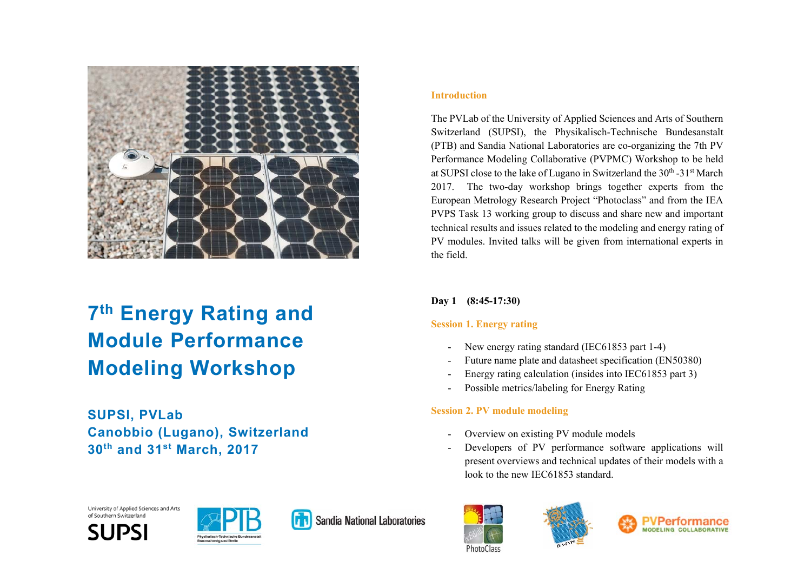

# **7th Energy Rating and Module Performance Modeling Workshop**

**SUPSI, PVLab Canobbio (Lugano), Switzerland 30th and 31st March, 2017** 

#### **Introduction**

The PVLab of the University of Applied Sciences and Arts of Southern Switzerland (SUPSI), the Physikalisch-Technische Bundesanstalt (PTB) and Sandia National Laboratories are co-organizing the 7th PV Performance Modeling Collaborative (PVPMC) Workshop to be held at SUPSI close to the lake of Lugano in Switzerland the  $30<sup>th</sup> - 31<sup>st</sup>$  March 2017. The two-day workshop brings together experts from the European Metrology Research Project "Photoclass" and from the IEA PVPS Task 13 working group to discuss and share new and important technical results and issues related to the modeling and energy rating of PV modules. Invited talks will be given from international experts in the field.

## **Day 1 (8:45-17:30)**

# **Session 1. Energy rating**

- -New energy rating standard (IEC61853 part 1-4)
- Future name plate and datasheet specification (EN50380)
- Energy rating calculation (insides into IEC61853 part 3)
- -Possible metrics/labeling for Energy Rating

# **Session 2. PV module modeling**

- Overview on existing PV module models
- Developers of PV performance software applications will present overviews and technical updates of their models with a look to the new IEC61853 standard.







University of Applied Sciences and Arts of Southern Switzerland





Sandia National Laboratories